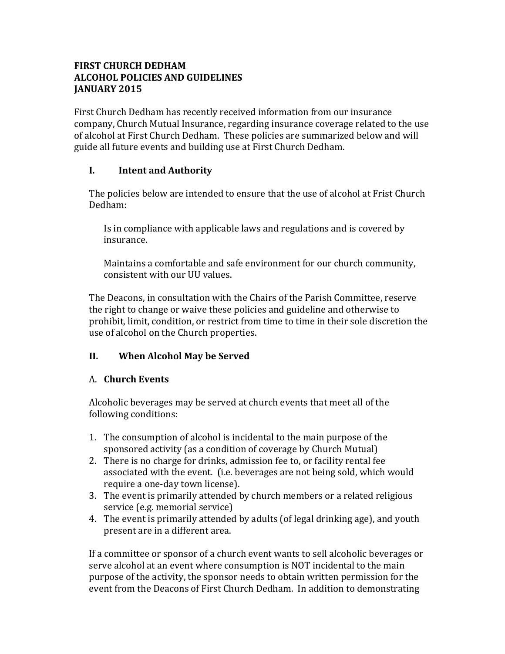### **FIRST CHURCH DEDHAM ALCOHOL POLICIES AND GUIDELINES JANUARY 2015**

First Church Dedham has recently received information from our insurance company, Church Mutual Insurance, regarding insurance coverage related to the use of alcohol at First Church Dedham. These policies are summarized below and will guide all future events and building use at First Church Dedham.

## **I. Intent and Authority**

The policies below are intended to ensure that the use of alcohol at Frist Church Dedham:

Is in compliance with applicable laws and regulations and is covered by insurance.

Maintains a comfortable and safe environment for our church community, consistent with our UU values.

The Deacons, in consultation with the Chairs of the Parish Committee, reserve the right to change or waive these policies and guideline and otherwise to prohibit, limit, condition, or restrict from time to time in their sole discretion the use of alcohol on the Church properties.

## **II. When Alcohol May be Served**

#### A. **Church Events**

Alcoholic beverages may be served at church events that meet all of the following conditions:

- 1. The consumption of alcohol is incidental to the main purpose of the sponsored activity (as a condition of coverage by Church Mutual)
- 2. There is no charge for drinks, admission fee to, or facility rental fee associated with the event. (i.e. beverages are not being sold, which would require a one-day town license).
- 3. The event is primarily attended by church members or a related religious service (e.g. memorial service)
- 4. The event is primarily attended by adults (of legal drinking age), and youth present are in a different area.

If a committee or sponsor of a church event wants to sell alcoholic beverages or serve alcohol at an event where consumption is NOT incidental to the main purpose of the activity, the sponsor needs to obtain written permission for the event from the Deacons of First Church Dedham. In addition to demonstrating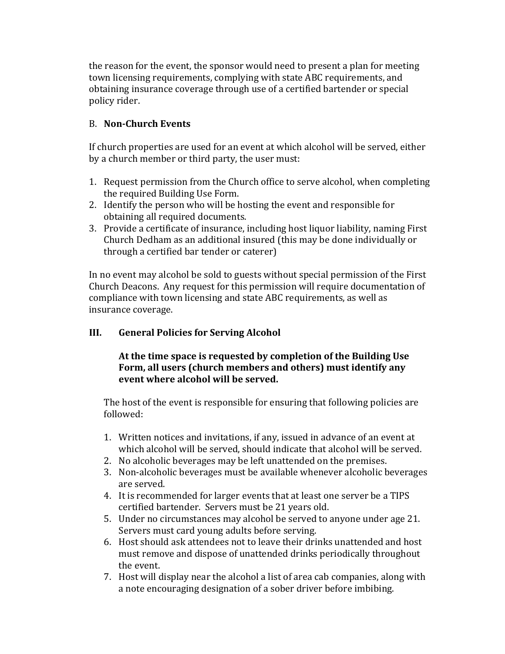the reason for the event, the sponsor would need to present a plan for meeting town licensing requirements, complying with state ABC requirements, and obtaining insurance coverage through use of a certified bartender or special policy rider.

## B. **Non-Church Events**

If church properties are used for an event at which alcohol will be served, either by a church member or third party, the user must:

- 1. Request permission from the Church office to serve alcohol, when completing the required Building Use Form.
- 2. Identify the person who will be hosting the event and responsible for obtaining all required documents.
- 3. Provide a certificate of insurance, including host liquor liability, naming First Church Dedham as an additional insured (this may be done individually or through a certified bar tender or caterer)

In no event may alcohol be sold to guests without special permission of the First Church Deacons. Any request for this permission will require documentation of compliance with town licensing and state ABC requirements, as well as insurance coverage.

# **III. General Policies for Serving Alcohol**

## At the time space is requested by completion of the Building Use Form, all users (church members and others) must identify any **event where alcohol will be served.**

The host of the event is responsible for ensuring that following policies are followed:

- 1. Written notices and invitations, if any, issued in advance of an event at which alcohol will be served, should indicate that alcohol will be served.
- 2. No alcoholic beverages may be left unattended on the premises.
- 3. Non-alcoholic beverages must be available whenever alcoholic beverages are served.
- 4. It is recommended for larger events that at least one server be a TIPS certified bartender. Servers must be 21 years old.
- 5. Under no circumstances may alcohol be served to anyone under age 21. Servers must card young adults before serving.
- 6. Host should ask attendees not to leave their drinks unattended and host must remove and dispose of unattended drinks periodically throughout the event.
- 7. Host will display near the alcohol a list of area cab companies, along with a note encouraging designation of a sober driver before imbibing.